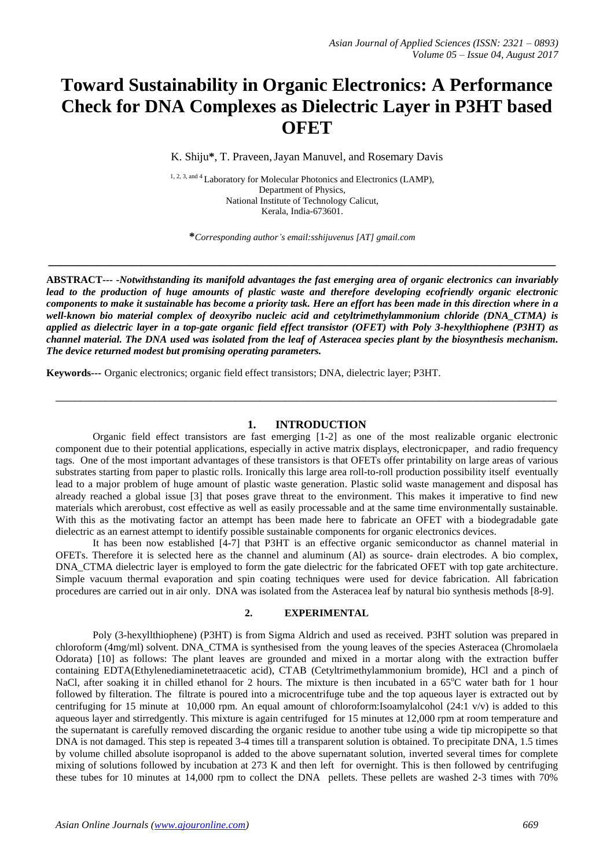# **Toward Sustainability in Organic Electronics: A Performance Check for DNA Complexes as Dielectric Layer in P3HT based OFET**

K. Shiju**\***, T. Praveen,Jayan Manuvel, and Rosemary Davis

<sup>1, 2, 3, and 4</sup> Laboratory for Molecular Photonics and Electronics (LAMP), Department of Physics, National Institute of Technology Calicut, Kerala, India-673601.

**\****Corresponding author's email:sshijuvenus [AT] gmail.com*

**\_\_\_\_\_\_\_\_\_\_\_\_\_\_\_\_\_\_\_\_\_\_\_\_\_\_\_\_\_\_\_\_\_\_\_\_\_\_\_\_\_\_\_\_\_\_\_\_\_\_\_\_\_\_\_\_\_\_\_\_\_\_\_\_\_\_\_\_\_\_\_\_\_\_\_\_\_\_\_\_\_\_**

**ABSTRACT--- -***Notwithstanding its manifold advantages the fast emerging area of organic electronics can invariably lead to the production of huge amounts of plastic waste and therefore developing ecofriendly organic electronic components to make it sustainable has become a priority task. Here an effort has been made in this direction where in a well-known bio material complex of deoxyribo nucleic acid and cetyltrimethylammonium chloride (DNA\_CTMA) is applied as dielectric layer in a top-gate organic field effect transistor (OFET) with Poly 3-hexylthiophene (P3HT) as channel material. The DNA used was isolated from the leaf of Asteracea species plant by the biosynthesis mechanism. The device returned modest but promising operating parameters.* 

**Keywords---** Organic electronics; organic field effect transistors; DNA, dielectric layer; P3HT.

#### **1. INTRODUCTION**

\_\_\_\_\_\_\_\_\_\_\_\_\_\_\_\_\_\_\_\_\_\_\_\_\_\_\_\_\_\_\_\_\_\_\_\_\_\_\_\_\_\_\_\_\_\_\_\_\_\_\_\_\_\_\_\_\_\_\_\_\_\_\_\_\_\_\_\_\_\_\_\_\_\_\_\_\_\_\_\_\_

Organic field effect transistors are fast emerging [1-2] as one of the most realizable organic electronic component due to their potential applications, especially in active matrix displays, electronicpaper, and radio frequency tags. One of the most important advantages of these transistors is that OFETs offer printability on large areas of various substrates starting from paper to plastic rolls. Ironically this large area roll-to-roll production possibility itself eventually lead to a major problem of huge amount of plastic waste generation. Plastic solid waste management and disposal has already reached a global issue [3] that poses grave threat to the environment. This makes it imperative to find new materials which arerobust, cost effective as well as easily processable and at the same time environmentally sustainable. With this as the motivating factor an attempt has been made here to fabricate an OFET with a biodegradable gate dielectric as an earnest attempt to identify possible sustainable components for organic electronics devices.

It has been now established [4-7] that P3HT is an effective organic semiconductor as channel material in OFETs. Therefore it is selected here as the channel and aluminum (Al) as source- drain electrodes. A bio complex, DNA\_CTMA dielectric layer is employed to form the gate dielectric for the fabricated OFET with top gate architecture. Simple vacuum thermal evaporation and spin coating techniques were used for device fabrication. All fabrication procedures are carried out in air only. DNA was isolated from the Asteracea leaf by natural bio synthesis methods [8-9].

# **2. EXPERIMENTAL**

Poly (3-hexyllthiophene) (P3HT) is from Sigma Aldrich and used as received. P3HT solution was prepared in chloroform (4mg/ml) solvent. DNA\_CTMA is synthesised from the young leaves of the species Asteracea (Chromolaela Odorata) [10] as follows: The plant leaves are grounded and mixed in a mortar along with the extraction buffer containing EDTA(Ethylenediaminetetraacetic acid), CTAB (Cetyltrimethylammonium bromide), HCl and a pinch of NaCl, after soaking it in chilled ethanol for 2 hours. The mixture is then incubated in a  $65^{\circ}$ C water bath for 1 hour followed by filteration. The filtrate is poured into a microcentrifuge tube and the top aqueous layer is extracted out by centrifuging for 15 minute at 10,000 rpm. An equal amount of chloroform:Isoamylalcohol (24:1 v/v) is added to this aqueous layer and stirredgently. This mixture is again centrifuged for 15 minutes at 12,000 rpm at room temperature and the supernatant is carefully removed discarding the organic residue to another tube using a wide tip micropipette so that DNA is not damaged. This step is repeated 3-4 times till a transparent solution is obtained. To precipitate DNA, 1.5 times by volume chilled absolute isopropanol is added to the above supernatant solution, inverted several times for complete mixing of solutions followed by incubation at 273 K and then left for overnight. This is then followed by centrifuging these tubes for 10 minutes at 14,000 rpm to collect the DNA pellets. These pellets are washed 2-3 times with 70%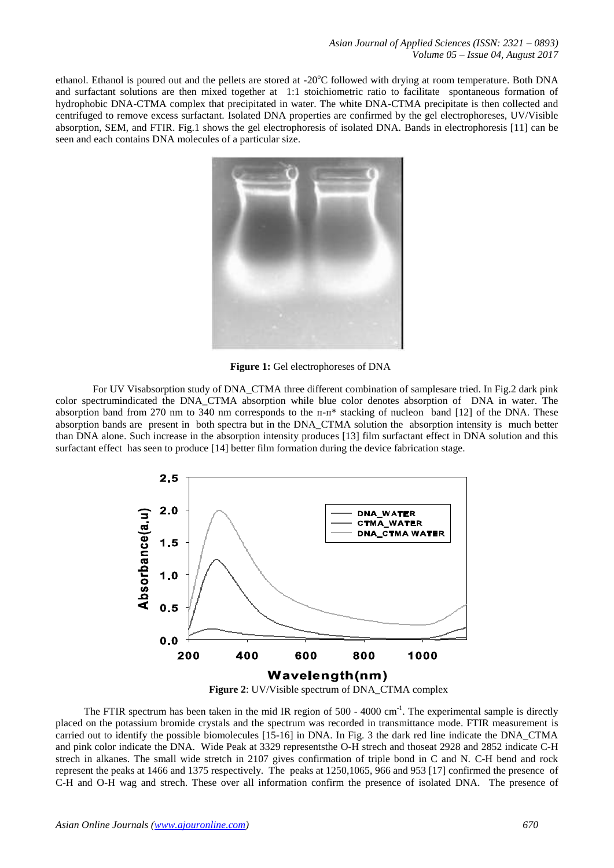ethanol. Ethanol is poured out and the pellets are stored at -20°C followed with drying at room temperature. Both DNA and surfactant solutions are then mixed together at 1:1 stoichiometric ratio to facilitate spontaneous formation of hydrophobic DNA-CTMA complex that precipitated in water. The white DNA-CTMA precipitate is then collected and centrifuged to remove excess surfactant. Isolated DNA properties are confirmed by the gel electrophoreses, UV/Visible absorption, SEM, and FTIR. Fig.1 shows the gel electrophoresis of isolated DNA. Bands in electrophoresis [11] can be seen and each contains DNA molecules of a particular size.



 **Figure 1:** Gel electrophoreses of DNA

For UV Visabsorption study of DNA\_CTMA three different combination of samplesare tried. In Fig.2 dark pink color spectrumindicated the DNA\_CTMA absorption while blue color denotes absorption of DNA in water. The absorption band from 270 nm to 340 nm corresponds to the  $\pi$ - $\pi$ \* stacking of nucleon band [12] of the DNA. These absorption bands are present in both spectra but in the DNA\_CTMA solution the absorption intensity is much better than DNA alone. Such increase in the absorption intensity produces [13] film surfactant effect in DNA solution and this surfactant effect has seen to produce [14] better film formation during the device fabrication stage.



 **Figure 2**: UV/Visible spectrum of DNA\_CTMA complex

The FTIR spectrum has been taken in the mid IR region of  $500 - 4000$  cm<sup>-1</sup>. The experimental sample is directly placed on the potassium bromide crystals and the spectrum was recorded in transmittance mode. FTIR measurement is carried out to identify the possible biomolecules [15-16] in DNA. In Fig. 3 the dark red line indicate the DNA\_CTMA and pink color indicate the DNA. Wide Peak at 3329 representsthe O-H strech and thoseat 2928 and 2852 indicate C-H strech in alkanes. The small wide stretch in 2107 gives confirmation of triple bond in C and N. C-H bend and rock represent the peaks at 1466 and 1375 respectively. The peaks at 1250,1065, 966 and 953 [17] confirmed the presence of C-H and O-H wag and strech. These over all information confirm the presence of isolated DNA. The presence of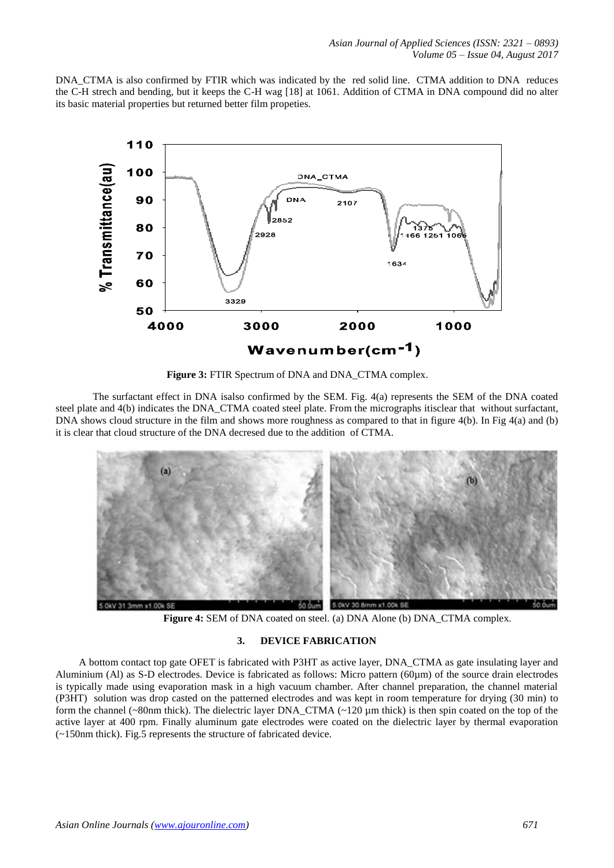DNA\_CTMA is also confirmed by FTIR which was indicated by the red solid line. CTMA addition to DNA reduces the C-H strech and bending, but it keeps the C-H wag [18] at 1061. Addition of CTMA in DNA compound did no alter its basic material properties but returned better film propeties.



**Figure 3:** FTIR Spectrum of DNA and DNA\_CTMA complex.

The surfactant effect in DNA isalso confirmed by the SEM. Fig. 4(a) represents the SEM of the DNA coated steel plate and 4(b) indicates the DNA\_CTMA coated steel plate. From the micrographs itisclear that without surfactant, DNA shows cloud structure in the film and shows more roughness as compared to that in figure 4(b). In Fig 4(a) and (b) it is clear that cloud structure of the DNA decresed due to the addition of CTMA.



**Figure 4:** SEM of DNA coated on steel. (a) DNA Alone (b) DNA CTMA complex.

# **3. DEVICE FABRICATION**

A bottom contact top gate OFET is fabricated with P3HT as active layer, DNA\_CTMA as gate insulating layer and Aluminium (Al) as S-D electrodes. Device is fabricated as follows: Micro pattern (60µm) of the source drain electrodes is typically made using evaporation mask in a high vacuum chamber. After channel preparation, the channel material (P3HT) solution was drop casted on the patterned electrodes and was kept in room temperature for drying (30 min) to form the channel (~80nm thick). The dielectric layer DNA\_CTMA (~120 µm thick) is then spin coated on the top of the active layer at 400 rpm. Finally aluminum gate electrodes were coated on the dielectric layer by thermal evaporation (~150nm thick). Fig.5 represents the structure of fabricated device.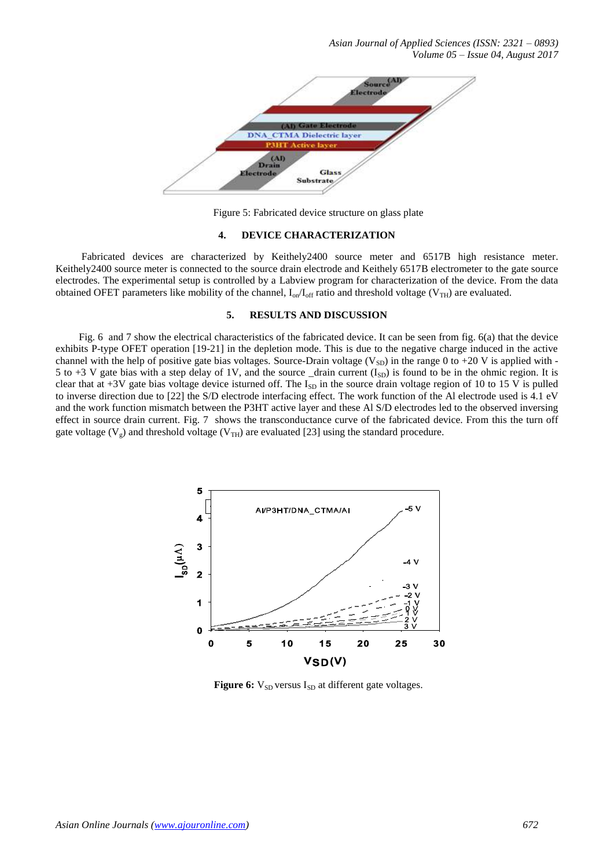*Asian Journal of Applied Sciences (ISSN: 2321 – 0893) Volume 05 – Issue 04, August 2017*



Figure 5: Fabricated device structure on glass plate

#### **4. DEVICE CHARACTERIZATION**

Fabricated devices are characterized by Keithely2400 source meter and 6517B high resistance meter. Keithely2400 source meter is connected to the source drain electrode and Keithely 6517B electrometer to the gate source electrodes. The experimental setup is controlled by a Labview program for characterization of the device. From the data obtained OFET parameters like mobility of the channel,  $I_{on}/I_{off}$  ratio and threshold voltage (V<sub>TH</sub>) are evaluated.

## **5. RESULTS AND DISCUSSION**

Fig. 6 and 7 show the electrical characteristics of the fabricated device. It can be seen from fig. 6(a) that the device exhibits P-type OFET operation [19-21] in the depletion mode. This is due to the negative charge induced in the active channel with the help of positive gate bias voltages. Source-Drain voltage (V<sub>SD</sub>) in the range 0 to +20 V is applied with -5 to +3 V gate bias with a step delay of 1V, and the source  $\Delta$  drain current (I<sub>SD</sub>) is found to be in the ohmic region. It is clear that at +3V gate bias voltage device isturned off. The  $I_{SD}$  in the source drain voltage region of 10 to 15 V is pulled to inverse direction due to [22] the S/D electrode interfacing effect. The work function of the Al electrode used is 4.1 eV and the work function mismatch between the P3HT active layer and these Al S/D electrodes led to the observed inversing effect in source drain current. Fig. 7 shows the transconductance curve of the fabricated device. From this the turn off gate voltage ( $V_g$ ) and threshold voltage ( $V_{TH}$ ) are evaluated [23] using the standard procedure.



**Figure 6:**  $V_{SD}$  versus  $I_{SD}$  at different gate voltages.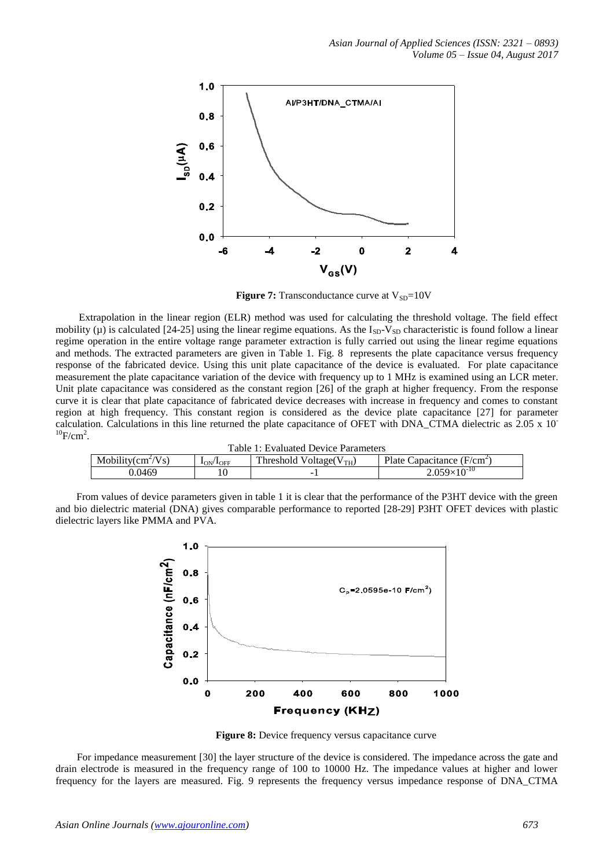

**Figure 7:** Transconductance curve at  $V_{SD} = 10V$ 

Extrapolation in the linear region (ELR) method was used for calculating the threshold voltage. The field effect mobility ( $\mu$ ) is calculated [24-25] using the linear regime equations. As the I<sub>SD</sub>-V<sub>SD</sub> characteristic is found follow a linear regime operation in the entire voltage range parameter extraction is fully carried out using the linear regime equations and methods. The extracted parameters are given in Table 1. Fig. 8 represents the plate capacitance versus frequency response of the fabricated device. Using this unit plate capacitance of the device is evaluated. For plate capacitance measurement the plate capacitance variation of the device with frequency up to 1 MHz is examined using an LCR meter. Unit plate capacitance was considered as the constant region [26] of the graph at higher frequency. From the response curve it is clear that plate capacitance of fabricated device decreases with increase in frequency and comes to constant region at high frequency. This constant region is considered as the device plate capacitance [27] for parameter calculation. Calculations in this line returned the plate capacitance of OFET with DNA\_CTMA dielectric as 2.05 x 10-  $^{10}$ F/cm<sup>2</sup>.

| Table 1: Evaluated Device Parameters |                                   |                              |                              |
|--------------------------------------|-----------------------------------|------------------------------|------------------------------|
| Mobility $\text{cm}^2/\text{Vs}$     | 1 <sub>ON</sub> /1 <sub>OFF</sub> | Threshold Voltage $(V_{TH})$ | Plate Capacitance $(F/cm^2)$ |
| 0.0469                               |                                   | -                            | $2.059\times10^{-10}$        |

 From values of device parameters given in table 1 it is clear that the performance of the P3HT device with the green and bio dielectric material (DNA) gives comparable performance to reported [28-29] P3HT OFET devices with plastic dielectric layers like PMMA and PVA.



**Figure 8:** Device frequency versus capacitance curve

For impedance measurement [30] the layer structure of the device is considered. The impedance across the gate and drain electrode is measured in the frequency range of 100 to 10000 Hz. The impedance values at higher and lower frequency for the layers are measured. Fig. 9 represents the frequency versus impedance response of DNA\_CTMA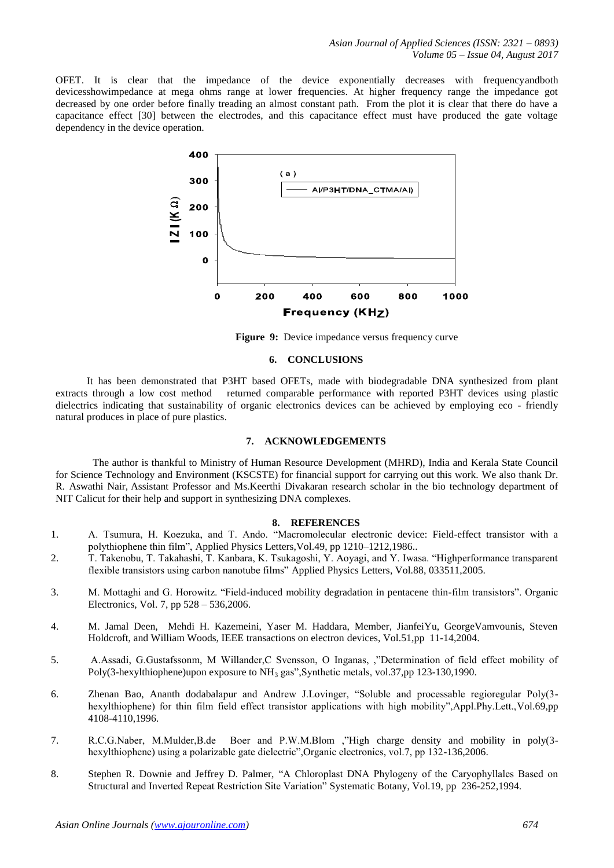OFET. It is clear that the impedance of the device exponentially decreases with frequencyandboth devicesshowimpedance at mega ohms range at lower frequencies. At higher frequency range the impedance got decreased by one order before finally treading an almost constant path. From the plot it is clear that there do have a capacitance effect [30] between the electrodes, and this capacitance effect must have produced the gate voltage dependency in the device operation.



Figure 9: Device impedance versus frequency curve

#### **6. CONCLUSIONS**

 It has been demonstrated that P3HT based OFETs, made with biodegradable DNA synthesized from plant extracts through a low cost method returned comparable performance with reported P3HT devices using plastic dielectrics indicating that sustainability of organic electronics devices can be achieved by employing eco - friendly natural produces in place of pure plastics.

## **7. ACKNOWLEDGEMENTS**

The author is thankful to Ministry of Human Resource Development (MHRD), India and Kerala State Council for Science Technology and Environment (KSCSTE) for financial support for carrying out this work. We also thank Dr. R. Aswathi Nair, Assistant Professor and Ms.Keerthi Divakaran research scholar in the bio technology department of NIT Calicut for their help and support in synthesizing DNA complexes.

## **8. REFERENCES**

- 1. A. Tsumura, H. Koezuka, and T. Ando. "Macromolecular electronic device: Field-effect transistor with a polythiophene thin film", Applied Physics Letters,Vol.49, pp 1210–1212,1986..
- 2. T. Takenobu, T. Takahashi, T. Kanbara, K. Tsukagoshi, Y. Aoyagi, and Y. Iwasa. "Highperformance transparent flexible transistors using carbon nanotube films" Applied Physics Letters, Vol.88, 033511,2005.
- 3. M. Mottaghi and G. Horowitz. "Field-induced mobility degradation in pentacene thin-film transistors". Organic Electronics, Vol. 7, pp 528 – 536,2006.
- 4. M. Jamal Deen, Mehdi H. Kazemeini, Yaser M. Haddara, Member, JianfeiYu, GeorgeVamvounis, Steven Holdcroft, and William Woods, IEEE transactions on electron devices, Vol.51,pp 11-14,2004.
- 5. A.Assadi, G.Gustafssonm, M Willander,C Svensson, O Inganas, ,"Determination of field effect mobility of Poly(3-hexylthiophene)upon exposure to NH<sub>3</sub> gas", Synthetic metals, vol.37,pp 123-130,1990.
- 6. Zhenan Bao, Ananth dodabalapur and Andrew J.Lovinger, "Soluble and processable regioregular Poly(3 hexylthiophene) for thin film field effect transistor applications with high mobility",Appl.Phy.Lett.,Vol.69,pp 4108-4110,1996.
- 7. R.C.G.Naber, M.Mulder,B.de Boer and P.W.M.Blom ,"High charge density and mobility in poly(3 hexylthiophene) using a polarizable gate dielectric",Organic electronics, vol.7, pp 132-136,2006.
- 8. Stephen R. Downie and Jeffrey D. Palmer, "A Chloroplast DNA Phylogeny of the Caryophyllales Based on Structural and Inverted Repeat Restriction Site Variation" Systematic Botany, Vol.19, pp 236-252,1994.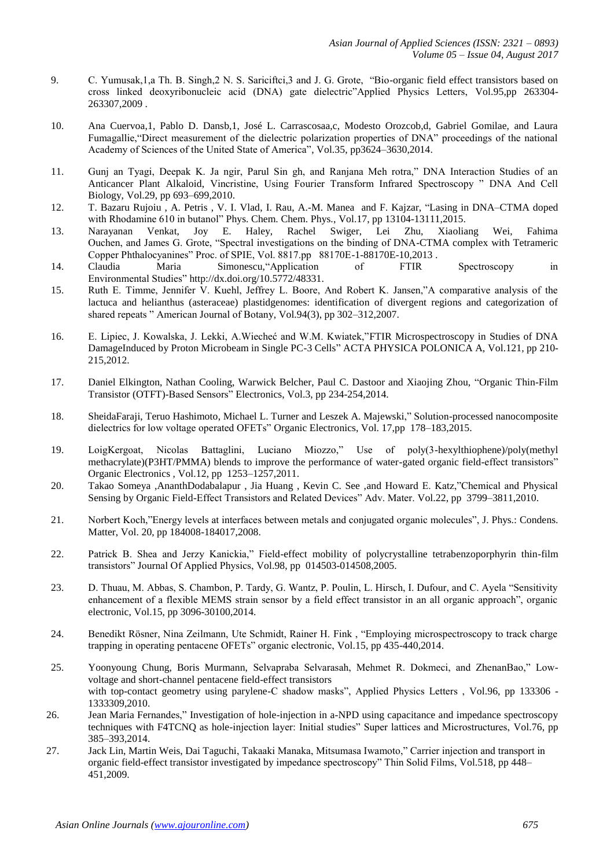- 9. C. Yumusak,1,a Th. B. Singh,2 N. S. Sariciftci,3 and J. G. Grote, "Bio-organic field effect transistors based on cross linked deoxyribonucleic acid (DNA) gate dielectric"Applied Physics Letters, Vol.95,pp 263304- 263307,2009 .
- 10. Ana Cuervoa,1, Pablo D. Dansb,1, José L. Carrascosaa,c, Modesto Orozcob,d, Gabriel Gomilae, and Laura Fumagallie,"Direct measurement of the dielectric polarization properties of DNA" proceedings of the national Academy of Sciences of the United State of America", Vol.35, pp3624–3630,2014.
- 11. Gunj an Tyagi, Deepak K. Ja ngir, Parul Sin gh, and Ranjana Meh rotra," DNA Interaction Studies of an Anticancer Plant Alkaloid, Vincristine, Using Fourier Transform Infrared Spectroscopy " DNA And Cell Biology, Vol.29, pp 693–699,2010.
- 12. T. Bazaru Rujoiu , A. Petris , V. I. Vlad, I. Rau, A.-M. Manea and F. Kajzar, "Lasing in DNA–CTMA doped with Rhodamine 610 in butanol" [Phys. Chem. Chem. Phys.,](http://dx.doi.org/10.1039/1463-9084/1999) Vol.17, pp 13104-13111,2015.
- 13. Narayanan Venkat, Joy E. Haley, Rachel Swiger, Lei Zhu, Xiaoliang Wei, Fahima Ouchen, and James G. Grote, "Spectral investigations on the binding of DNA-CTMA complex with Tetrameric Copper Phthalocyanines" Proc. of SPIE, Vol. 8817.pp 88170E-1-88170E-10,2013 .
- 14. Claudia Maria Simonescu,"Application of FTIR Spectroscopy in Environmental Studies" http://dx.doi.org/10.5772/48331.
- 15. Ruth E. Timme, Jennifer V. Kuehl, Jeffrey L. Boore, And Robert K. Jansen,"A comparative analysis of the lactuca and helianthus (asteraceae) plastidgenomes: identification of divergent regions and categorization of shared repeats " American Journal of Botany, Vol.94(3), pp 302–312,2007.
- 16. E. Lipiec, J. Kowalska, J. Lekki, A.Wiecheć and W.M. Kwiatek,"FTIR Microspectroscopy in Studies of DNA DamageInduced by Proton Microbeam in Single PC-3 Cells" ACTA PHYSICA POLONICA A, Vol.121, pp 210- 215,2012.
- 17. Daniel Elkington, Nathan Cooling, Warwick Belcher, Paul C. Dastoor and Xiaojing Zhou, "Organic Thin-Film Transistor (OTFT)-Based Sensors" Electronics, Vol.3, pp 234-254,2014.
- 18. [SheidaFaraji,](http://www.sciencedirect.com/science/article/pii/S1566119914005588) [Teruo Hashimoto, Michael L. Turner](http://www.sciencedirect.com/science/article/pii/S1566119914005588) and [Leszek A. Majewski,](http://www.sciencedirect.com/science/article/pii/S1566119914005588)" Solution-processed nanocomposite dielectrics for low voltage operated OFETs[" Organic Electronics,](http://www.sciencedirect.com/science/journal/15661199) Vol. [17,](http://www.sciencedirect.com/science/journal/15661199/17/supp/C)pp 178–183,2015.
- 19. LoigKergoat, Nicolas Battaglini, Luciano Miozzo," Use of poly(3-hexylthiophene)/poly(methyl methacrylate)(P3HT/PMMA) blends to improve the performance of water-gated organic field-effect transistors" Organic Electronics , Vol.12, pp 1253–1257,2011.
- 20. Takao Someya ,AnanthDodabalapur , Jia Huang , Kevin C. See ,and Howard E. Katz,"Chemical and Physical Sensing by Organic Field-Effect Transistors and Related Devices" Adv. Mater. Vol.22, pp 3799–3811,2010.
- 21. Norbert Koch,"Energy levels at interfaces between metals and conjugated organic molecules", J. Phys.: Condens. Matter, Vol. 20, pp 184008-184017,2008.
- 22. Patrick B. Shea and Jerzy Kanickia," Field-effect mobility of polycrystalline tetrabenzoporphyrin thin-film transistors" Journal Of Applied Physics, Vol.98, pp 014503-014508,2005.
- 23. D. Thuau, M. Abbas, S. Chambon, P. Tardy, G. Wantz, P. Poulin, L. Hirsch, I. Dufour, and C. Ayela "Sensitivity enhancement of a flexible MEMS strain sensor by a field effect transistor in an all organic approach", organic electronic, Vol.15, pp 3096-30100,2014.
- 24. Benedikt Rösner, Nina Zeilmann, Ute Schmidt, Rainer H. Fink , "Employing microspectroscopy to track charge trapping in operating pentacene OFETs" organic electronic, Vol.15, pp 435-440,2014.
- 25. Yoonyoung Chung, Boris Murmann, Selvapraba Selvarasah, Mehmet R. Dokmeci, and ZhenanBao," Lowvoltage and short-channel pentacene field-effect transistors with top-contact geometry using parylene-C shadow masks", Applied Physics Letters , Vol.96, pp 133306 - 1333309,2010.
- 26. Jean Maria Fernandes," Investigation of hole-injection in a-NPD using capacitance and impedance spectroscopy techniques with F4TCNQ as hole-injection layer: Initial studies" Super lattices and Microstructures, Vol.76, pp 385–393,2014.
- 27. Jack Lin, Martin Weis, Dai Taguchi, Takaaki Manaka, Mitsumasa Iwamoto," Carrier injection and transport in organic field-effect transistor investigated by impedance spectroscopy" Thin Solid Films, Vol.518, pp 448– 451,2009.